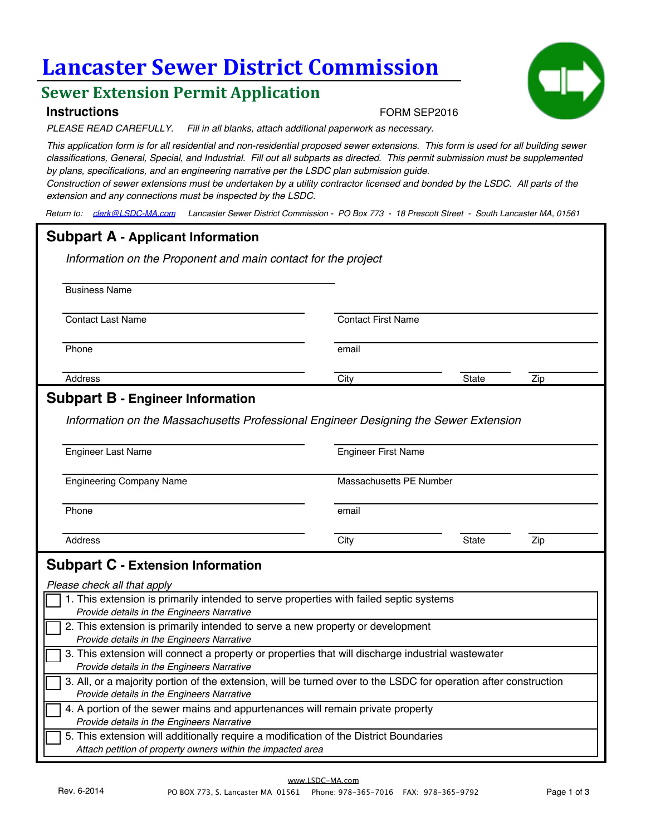# **Lancaster Sewer District Commission**

# **Sewer Extension Permit Application**

### **Instructions**

*PLEASE READ CAREFULLY. Fill in all blanks, attach additional paperwork as necessary.*

*This application form is for all residential and non-residential proposed sewer extensions. This form is used for all building sewer classifications, General, Special, and Industrial. Fill out all subparts as directed. This permit submission must be supplemented by plans, specifications, and an engineering narrative per the LSDC plan submission guide.* 

FORM SEP2016

*Construction of sewer extensions must be undertaken by a utility contractor licensed and bonded by the LSDC. All parts of the extension and any connections must be inspected by the LSDC.*

*Return to: clerk@LSDC-MA.com Lancaster Sewer District Commission - PO Box 773 - 18 Prescott Street - South Lancaster MA, 01561*

# **Subpart A - Applicant Information**

*Information on the Proponent and main contact for the project*

Business Name

**Contact Last Name** Contact First Name

Phone email and the contract of the contract of the contract of the contract of the contract of the contract of the contract of the contract of the contract of the contract of the contract of the contract of the contract o

Address City State Zip

## **Subpart B - Engineer Information**

*Information on the Massachusetts Professional Engineer Designing the Sewer Extension*

| <b>Engineer Last Name</b>       |                         | <b>Engineer First Name</b> |     |  |  |
|---------------------------------|-------------------------|----------------------------|-----|--|--|
| <b>Engineering Company Name</b> | Massachusetts PE Number |                            |     |  |  |
| Phone                           | email                   |                            |     |  |  |
| Address                         | City                    | State                      | Zip |  |  |

| 1. This extension is primarily intended to serve properties with failed septic systems<br>Provide details in the Engineers Narrative                           |
|----------------------------------------------------------------------------------------------------------------------------------------------------------------|
| 2. This extension is primarily intended to serve a new property or development<br>Provide details in the Engineers Narrative                                   |
| 3. This extension will connect a property or properties that will discharge industrial wastewater<br>Provide details in the Engineers Narrative                |
| 3. All, or a majority portion of the extension, will be turned over to the LSDC for operation after construction<br>Provide details in the Engineers Narrative |
| 4. A portion of the sewer mains and appurtenances will remain private property<br>Provide details in the Engineers Narrative                                   |
| 5. This extension will additionally require a modification of the District Boundaries<br>Attach petition of property owners within the impacted area           |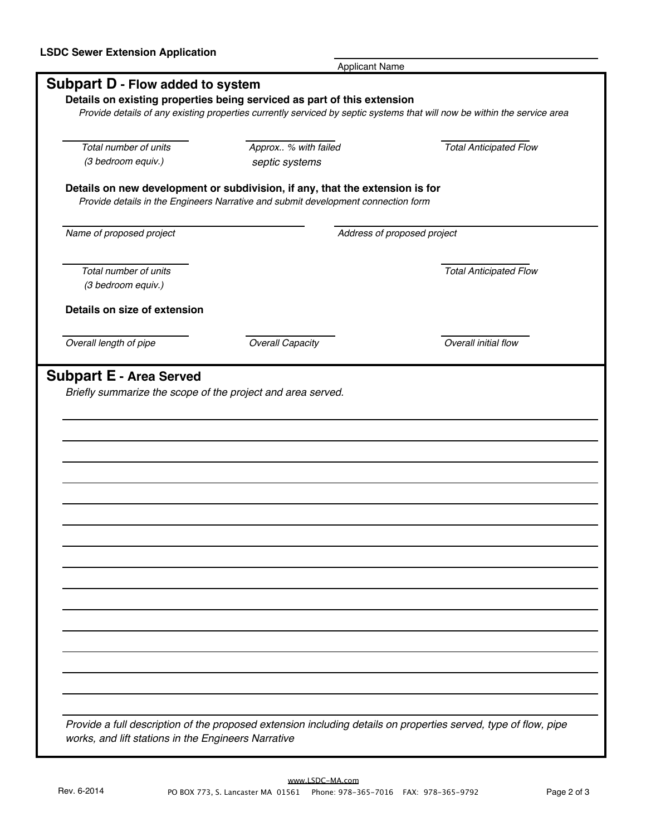|                                  | <b>Applicant Name</b>                                                             |                                                                                                                          |  |  |  |
|----------------------------------|-----------------------------------------------------------------------------------|--------------------------------------------------------------------------------------------------------------------------|--|--|--|
| Subpart D - Flow added to system |                                                                                   |                                                                                                                          |  |  |  |
|                                  | Details on existing properties being serviced as part of this extension           |                                                                                                                          |  |  |  |
|                                  |                                                                                   | Provide details of any existing properties currently serviced by septic systems that will now be within the service area |  |  |  |
|                                  |                                                                                   |                                                                                                                          |  |  |  |
| Total number of units            | Approx % with failed                                                              | <b>Total Anticipated Flow</b>                                                                                            |  |  |  |
| (3 bedroom equiv.)               | septic systems                                                                    |                                                                                                                          |  |  |  |
|                                  | Details on new development or subdivision, if any, that the extension is for      |                                                                                                                          |  |  |  |
|                                  | Provide details in the Engineers Narrative and submit development connection form |                                                                                                                          |  |  |  |
|                                  |                                                                                   |                                                                                                                          |  |  |  |
| Name of proposed project         |                                                                                   | Address of proposed project                                                                                              |  |  |  |
|                                  |                                                                                   |                                                                                                                          |  |  |  |
| Total number of units            |                                                                                   | <b>Total Anticipated Flow</b>                                                                                            |  |  |  |
| (3 bedroom equiv.)               |                                                                                   |                                                                                                                          |  |  |  |
|                                  |                                                                                   |                                                                                                                          |  |  |  |
| Details on size of extension     |                                                                                   |                                                                                                                          |  |  |  |
|                                  |                                                                                   |                                                                                                                          |  |  |  |
| Overall length of pipe           | <b>Overall Capacity</b>                                                           | Overall initial flow                                                                                                     |  |  |  |
|                                  |                                                                                   |                                                                                                                          |  |  |  |
|                                  | Briefly summarize the scope of the project and area served.                       |                                                                                                                          |  |  |  |
|                                  |                                                                                   |                                                                                                                          |  |  |  |
|                                  |                                                                                   |                                                                                                                          |  |  |  |
|                                  |                                                                                   |                                                                                                                          |  |  |  |
|                                  |                                                                                   |                                                                                                                          |  |  |  |
|                                  |                                                                                   |                                                                                                                          |  |  |  |
|                                  |                                                                                   |                                                                                                                          |  |  |  |
|                                  |                                                                                   |                                                                                                                          |  |  |  |
|                                  |                                                                                   |                                                                                                                          |  |  |  |
|                                  |                                                                                   |                                                                                                                          |  |  |  |
|                                  |                                                                                   |                                                                                                                          |  |  |  |
|                                  |                                                                                   |                                                                                                                          |  |  |  |
|                                  |                                                                                   |                                                                                                                          |  |  |  |
|                                  |                                                                                   |                                                                                                                          |  |  |  |
|                                  |                                                                                   |                                                                                                                          |  |  |  |
|                                  |                                                                                   |                                                                                                                          |  |  |  |
|                                  |                                                                                   |                                                                                                                          |  |  |  |
|                                  |                                                                                   |                                                                                                                          |  |  |  |
|                                  |                                                                                   |                                                                                                                          |  |  |  |
|                                  |                                                                                   | Provide a full description of the proposed extension including details on properties served, type of flow, pipe          |  |  |  |